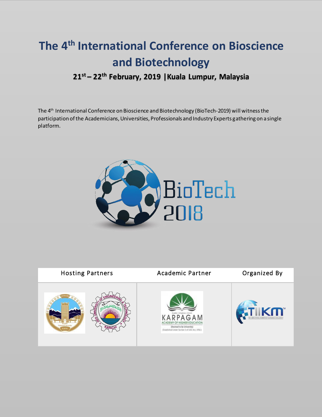# **The 4th International Conference on Bioscience and Biotechnology 21st – 22th February, 2019 |Kuala Lumpur, Malaysia**

The 4th International Conference on Bioscience and Biotechnology (BioTech-2019) will witness the participation of the Academicians, Universities, Professionals and Industry Experts gathering on a single platform.



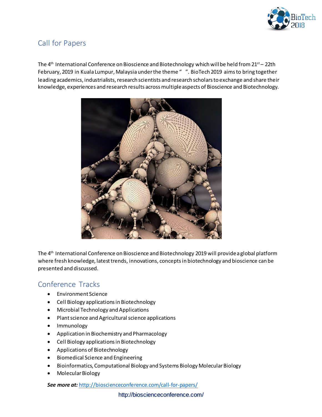

### Call for Papers

The 4<sup>th</sup> International Conference on Bioscience and Biotechnology which will be held from 21<sup>st</sup> – 22th February, 2019 in Kuala Lumpur, Malaysia under the theme " ". BioTech 2019 aims to bring together leading academics, industrialists, research scientists and research scholars to exchange and share their knowledge, experiences and research results across multiple aspects of Bioscience and Biotechnology.



The 4th International Conference on Bioscience and Biotechnology 2019 will provide a global platform where fresh knowledge, latest trends, innovations, conceptsin biotechnology and bioscience can be presented and discussed.

### Conference Tracks

- Environment Science
- Cell Biology applications in Biotechnology
- Microbial Technology and Applications
- Plant science and Agricultural science applications
- Immunology
- Application in Biochemistry and Pharmacology
- Cell Biology applications in Biotechnology
- Applications of Biotechnology
- Biomedical Science and Engineering
- Bioinformatics, Computational Biology and Systems Biology Molecular Biology
- Molecular Biology

*See more at:* <http://bioscienceconference.com/call-for-papers/>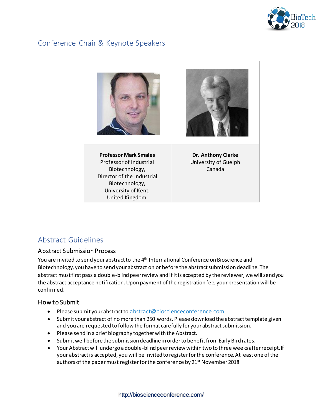

### Conference Chair & Keynote Speakers



### Abstract Guidelines

### Abstract Submission Process

You are invited to send your abstract to the 4<sup>th</sup> International Conference on Bioscience and Biotechnology, you have to send your abstract on or before the abstract submission deadline. The abstract must first pass a double-blind peer review and if it is accepted by the reviewer, we will send you the abstract acceptance notification. Upon payment of the registration fee, your presentation will be confirmed.

### How to Submit

- Please submit your abstract to abstract@bioscienceconference.com
- Submit your abstract of no more than 250 words. Please download the abstract template given and you are requested to follow the format carefully for your abstract submission.
- Please send in a brief biography together with the Abstract.
- Submit well before the submission deadline in order to benefit from Early Bird rates.
- Your Abstract will undergo a double-blind peer review within two to three weeks after receipt. If your abstract is accepted, you will be invited to register for the conference. At least one of the authors of the paper must register for the conference by 21<sup>st</sup> November 2018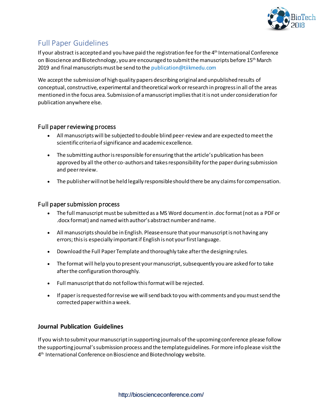

### Full Paper Guidelines

If your abstract is accepted and you have paid the registration fee for the  $4<sup>th</sup>$  International Conference on Bioscience and Biotechnology, you are encouraged to submit the manuscripts before 15<sup>th</sup> March 2019 and final manuscripts must be send to the publication@tiikmedu.com

We accept the submission of high quality papers describing original and unpublished results of conceptual, constructive, experimental and theoretical work or research in progress in all of the areas mentioned in the focus area. Submission of a manuscript implies that it is not under consideration for publication anywhere else.

### Full paper reviewing process

- All manuscripts will be subjected to double blind peer-review and are expected to meet the scientific criteria of significance and academic excellence.
- The submitting author is responsible for ensuring that the article's publication has been approved by all the other co-authors and takes responsibility for the paper during submission and peer review.
- The publisher will not be held legally responsible should there be any claims for compensation.

### Full paper submission process

- The full manuscript must be submitted as a MS Word document in .doc format (not as a PDF or .docx format) and named with author's abstract number and name.
- All manuscripts should be in English. Please ensure that your manuscript is not having any errors; this is especially important if English is not your first language.
- Download the Full Paper Template and thoroughly take after the designing rules.
- The format will help you to present your manuscript, subsequently you are asked for to take after the configuration thoroughly.
- Full manuscript that do not follow this format will be rejected.
- If paper is requested for revise we will send back to you with comments and you must send the corrected paper within a week.

### **Journal Publication Guidelines**

If you wish to submit your manuscript in supporting journals of the upcoming conference please follow the supporting journal's submission process and the template guidelines. For more info please visit the 4 th International Conference on Bioscience and Biotechnology website.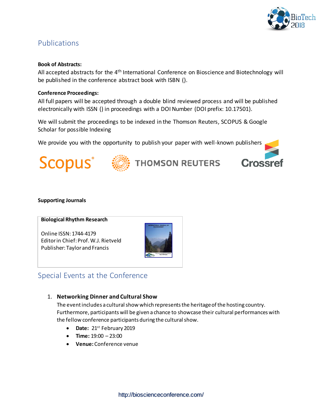

### Publications

#### **Book of Abstracts:**

All accepted abstracts for the 4<sup>th</sup> International Conference on Bioscience and Biotechnology will be published in the conference abstract book with ISBN ().

#### **Conference Proceedings:**

All full papers will be accepted through a double blind reviewed process and will be published electronically with ISSN () in proceedings with a DOI Number (DOI prefix: 10.17501).

We will submit the proceedings to be indexed in the Thomson Reuters, SCOPUS & Google Scholar for possible Indexing

We provide you with the opportunity to publish your paper with well-known publishers





## **THOMSON REUTERS**



#### **Supporting Journals**

#### **Biological Rhythm Research**

Online ISSN: 1744-4179 Editor in Chief: Prof. W.J. Rietveld Publisher: Taylor and Francis



### Special Events at the Conference

### 1. **Networking Dinner and Cultural Show**

The event includes a cultural show which represents the heritage of the hosting country. Furthermore, participants will be given a chance to showcase their cultural performances with the fellow conference participants during the cultural show.

- Date: 21<sup>st</sup> February 2019
- **Time:** 19:00 23:00
- **Venue:** Conference venue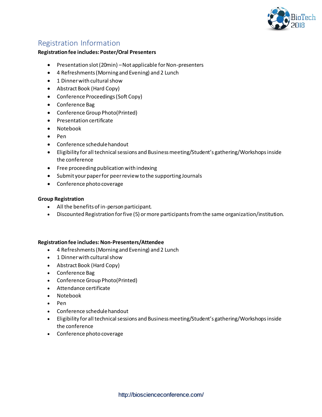

### Registration Information

#### **Registration fee includes: Poster/Oral Presenters**

- Presentation slot (20min) Not applicable for Non-presenters
- 4 Refreshments (Morning and Evening) and 2 Lunch
- 1 Dinner with cultural show
- Abstract Book (Hard Copy)
- Conference Proceedings (Soft Copy)
- Conference Bag
- Conference Group Photo(Printed)
- Presentation certificate
- Notebook
- $\bullet$  Pen
- Conference schedule handout
- Eligibility for all technical sessions and Business meeting/Student's gathering/Workshops inside the conference
- Free proceeding publication with indexing
- Submit your paper for peer review to the supporting Journals
- Conference photo coverage

#### **Group Registration**

- All the benefits of in-person participant.
- Discounted Registration for five (5) or more participants from the same organization/institution.

#### **Registration fee includes: Non-Presenters/Attendee**

- 4 Refreshments (Morning and Evening) and 2 Lunch
- 1 Dinner with cultural show
- Abstract Book (Hard Copy)
- Conference Bag
- Conference Group Photo(Printed)
- Attendance certificate
- Notebook
- Pen
- Conference schedule handout
- Eligibility for all technical sessions and Business meeting/Student's gathering/Workshops inside the conference
- Conference photo coverage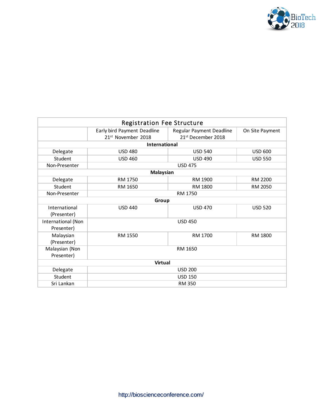

| <b>Registration Fee Structure</b> |                                                               |                                                            |                 |  |
|-----------------------------------|---------------------------------------------------------------|------------------------------------------------------------|-----------------|--|
|                                   | Early bird Payment Deadline<br>21 <sup>st</sup> November 2018 | Regular Payment Deadline<br>21 <sup>st</sup> December 2018 | On Site Payment |  |
| <b>International</b>              |                                                               |                                                            |                 |  |
| Delegate                          | <b>USD 480</b>                                                | <b>USD 540</b>                                             | <b>USD 600</b>  |  |
| Student                           | <b>USD 460</b>                                                | <b>USD 490</b>                                             | <b>USD 550</b>  |  |
| Non-Presenter                     | <b>USD 475</b>                                                |                                                            |                 |  |
| <b>Malaysian</b>                  |                                                               |                                                            |                 |  |
| Delegate                          | RM 1750                                                       | RM 1900                                                    | RM 2200         |  |
| Student                           | RM 1650                                                       | RM 1800                                                    | RM 2050         |  |
| Non-Presenter                     | RM 1750                                                       |                                                            |                 |  |
| Group                             |                                                               |                                                            |                 |  |
| International<br>(Presenter)      | <b>USD 440</b>                                                | <b>USD 470</b>                                             | <b>USD 520</b>  |  |
| International (Non<br>Presenter)  | <b>USD 450</b>                                                |                                                            |                 |  |
| Malaysian<br>(Presenter)          | RM 1550                                                       | RM 1700                                                    | RM 1800         |  |
| Malaysian (Non<br>Presenter)      | RM 1650                                                       |                                                            |                 |  |
| <b>Virtual</b>                    |                                                               |                                                            |                 |  |
| Delegate                          | <b>USD 200</b>                                                |                                                            |                 |  |
| Student                           | <b>USD 150</b>                                                |                                                            |                 |  |
| Sri Lankan                        | <b>RM 350</b>                                                 |                                                            |                 |  |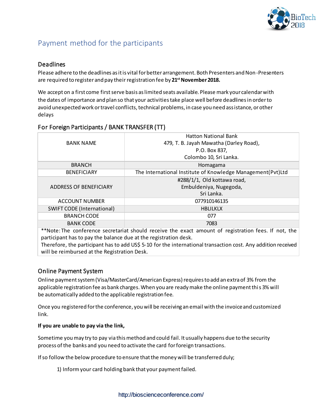

### Payment method for the participants

### Deadlines

Please adhere to the deadlines as it is vital for better arrangement. Both Presenters and Non-Presenters are required to register and pay theirregistration fee by **21stNovember 2018.**

We accept on a first come first serve basis as limited seats available. Please mark your calendar with the dates of importance and plan so that your activities take place well before deadlines in order to avoid unexpected work or travel conflicts, technical problems, in case you need assistance, or other delays

### For Foreign Participants / BANK TRANSFER (TT)

|                                   | <b>Hatton National Bank</b>                                 |
|-----------------------------------|-------------------------------------------------------------|
| <b>BANK NAME</b>                  | 479, T. B. Jayah Mawatha (Darley Road),                     |
|                                   | P.O. Box 837,                                               |
|                                   | Colombo 10, Sri Lanka.                                      |
| <b>BRANCH</b>                     | Homagama                                                    |
| <b>BENEFICIARY</b>                | The International Institute of Knowledge Management(Pvt)Ltd |
|                                   | #288/1/1, Old kottawa road,                                 |
| ADDRESS OF BENEFICIARY            | Embuldeniya, Nugegoda,                                      |
|                                   | Sri Lanka.                                                  |
| ACCOUNT NUMBER                    | 077910146135                                                |
| <b>SWIFT CODE (International)</b> | <b>HBLILKLX</b>                                             |
| <b>BRANCH CODE</b>                | 077                                                         |
| <b>BANK CODE</b>                  | 7083                                                        |

\*\*Note: The conference secretariat should receive the exact amount of registration fees. If not, the participant has to pay the balance due at the registration desk.

Therefore, the participant has to add US\$ 5-10 for the international transaction cost. Any addition received will be reimbursed at the Registration Desk.

### Online Payment System

Online payment system (Visa/MasterCard/American Express) requires to add an extra of 3% from the applicable registration fee as bank charges. When you are ready make the online payment this 3% will be automatically added to the applicable registration fee.

Once you registered for the conference, you will be receiving an email with the invoice and customized link.

### **If you are unable to pay via the link,**

Sometime you may try to pay via this method and could fail. It usually happens due to the security process ofthe banks and you need to activate the card forforeign transactions.

If so follow the below procedure to ensure that the money will be transferred duly;

1) Informyour card holding bank that your paymentfailed.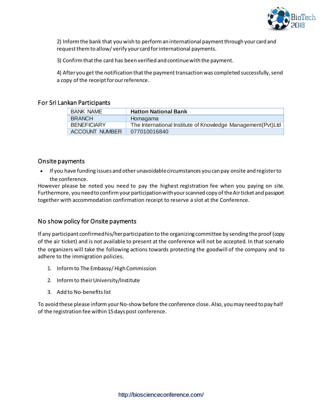

2) Informthe bank that you wish to performan international paymentthrough your card and request them to allow/ verify your card for international payments.

3) Confirm that the card has been verified and continue with the payment.

4) After you get the notification that the payment transaction was completed successfully, send a copy of the receipt for our reference.

### For Sri Lankan Participants

| <b>BANK NAME</b>      | <b>Hatton National Bank</b>                                   |
|-----------------------|---------------------------------------------------------------|
| <b>BRANCH</b>         | Homagama                                                      |
| <b>BENEFICIARY</b>    | The International Institute of Knowledge Management (Pvt) Ltd |
| <b>ACCOUNT NUMBER</b> | 077010016840                                                  |

### Onsite payments

 If you have funding issues and otherunavoidablecircumstances you can pay onsite and registerto the conference.

However please be noted you need to pay the highest registration fee when you paying on site. Furthermore, you need to confirm your participation with your scanned copy of the Air ticket and passport together with accommodation confirmation receipt to reserve a slot at the Conference.

### No show policy for Onsite payments

If any participant confirmed his/her participation to the organizing committee by sending the proof (copy of the air ticket) and is not available to present at the conference will not be accepted. In that scenario the organizers will take the following actions towards protecting the goodwill of the company and to adhere to the immigration policies.

- 1. Informto The Embassy/ High Commission
- 2. Inform to their University/Institute
- 3. Add to No-benefitslist

To avoid these please inform your No-show before the conference close. Also, you may need to pay half of the registration fee within 15days post conference.